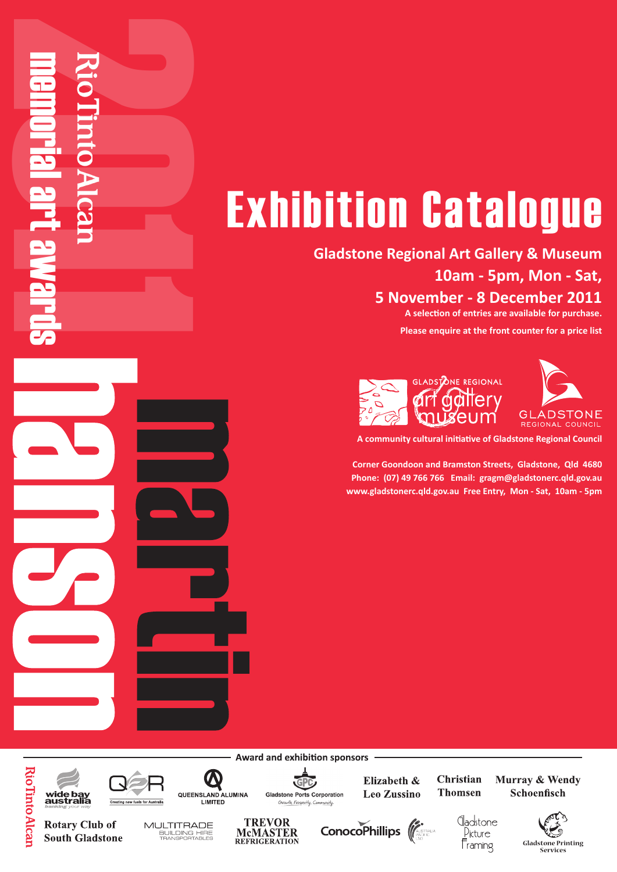## **Exhibition Catalogue**

**Art Awards Gladstone Regional Art Gallery & Museum 10am - 5pm, Mon - Sat, 5 November - 8 December 2011**

**A selection of entries are available for purchase.** 

**Please enquire at the front counter for a price list**





**A community cultural initiative of Gladstone Regional Council**

**Exhibition** Catalogue<br> **Exhibition** Catalogue<br> **Exhibition** Catalogue<br> **Exhibition** Catalogue<br> **Exhibition** Catalogue<br> **Exhibition** Catalogue<br> **Exhibition** Catalogue<br> **Exhibition** Catalogue<br> **Exhibition** Catalogue<br> **Exhib Corner Goondoon and Bramston Streets, Gladstone, Qld 4680 Phone: (07) 49 766 766 Email: gragm@gladstonerc.qld.gov.au www.gladstonerc.qld.gov.au Free Entry, Mon - Sat, 10am - 5pm**

**Award and exhibition sponsors** 

GPC

**Gladstone Ports Corporation** 

Growth, Prosperity, Co

Corner Goondoon and Bramston Streets, Gladstone, Qld 4680 Phone: (07) 49 766 766 Email: gragm@gladstonerc.qld.gov.au ww.gladstoner.gov.au Free Entry, Mon-Sat, 10am-5pm

Exhibiting at the Gladstone Regional Art Gallery & Museum

10am - 5pm, Mon - 5pm, Mon - 9 December - 9 November 2010 A selection of entries are available for purchase. Please enquire at the front counter for a price list

> Elizabeth & **Leo Zussino**

Christian **Thomsen** 

dadstone

Picture

Framing

Murray & Wendy Schoenfisch

> **Gladstone Printing Services**

**Rio linto Alcar** wide bay<br>australia **Rotary Club of** 



**South Gladstone** 

**2011 memorial art awards** 



 $\bf \Phi$ 

LIMITED

MULTITRADE BUILDING HIRE



ConocoPhillips (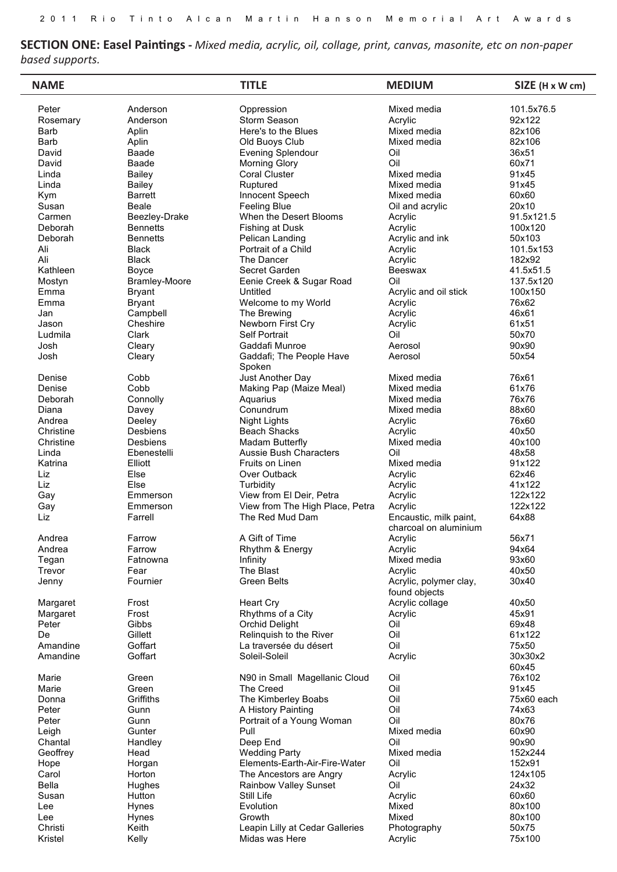**SECTION ONE: Easel Paintings** - Mixed media, acrylic, oil, collage, print, canvas, masonite, etc on non-paper *based supports. Section Three Prizes:*

| <b>NAME</b>  |                 | <b>TITLE</b>                       | <b>MEDIUM</b>                                   | SIZE (H x W cm)  |
|--------------|-----------------|------------------------------------|-------------------------------------------------|------------------|
| Peter        | Anderson        | Oppression                         | Mixed media                                     | 101.5x76.5       |
| Rosemary     | Anderson        | Storm Season                       | Acrylic                                         | 92x122           |
| Barb         | Aplin           | Here's to the Blues                | Mixed media                                     | 82x106           |
| <b>Barb</b>  | Aplin           | Old Buoys Club                     | Mixed media                                     | 82x106           |
| David        | Baade           | <b>Evening Splendour</b>           | Oil                                             | 36x51            |
| David        | Baade           | <b>Morning Glory</b>               | Oil                                             | 60x71            |
| Linda        | Bailey          | <b>Coral Cluster</b>               | Mixed media                                     | 91x45            |
| Linda        | <b>Bailey</b>   | Ruptured                           | Mixed media                                     | 91x45            |
| Kym          | <b>Barrett</b>  | Innocent Speech                    | Mixed media                                     | 60x60            |
| Susan        | Beale           | <b>Feeling Blue</b>                | Oil and acrylic                                 | 20x10            |
| Carmen       | Beezley-Drake   | When the Desert Blooms             | Acrylic                                         | 91.5x121.5       |
| Deborah      | <b>Bennetts</b> | Fishing at Dusk                    | Acrylic                                         | 100x120          |
| Deborah      | <b>Bennetts</b> | Pelican Landing                    | Acrylic and ink                                 | 50x103           |
| Ali          | <b>Black</b>    | Portrait of a Child                | Acrylic                                         | 101.5x153        |
| Ali          | <b>Black</b>    | The Dancer                         | Acrylic                                         | 182x92           |
| Kathleen     | Boyce           | Secret Garden                      | Beeswax                                         | 41.5x51.5        |
| Mostyn       | Bramley-Moore   | Eenie Creek & Sugar Road           | Oil                                             | 137.5x120        |
| Emma         | <b>Bryant</b>   | Untitled                           | Acrylic and oil stick                           | 100x150          |
| Emma         | <b>Bryant</b>   | Welcome to my World                | Acrylic                                         | 76x62            |
| Jan          | Campbell        | The Brewing                        | Acrylic                                         | 46x61            |
| Jason        | Cheshire        | Newborn First Cry                  | Acrylic                                         | 61x51            |
| Ludmila      | Clark           | Self Portrait                      | Oil                                             | 50x70            |
| Josh         | Cleary          | Gaddafi Munroe                     | Aerosol                                         | 90x90            |
| Josh         | Cleary          | Gaddafi; The People Have<br>Spoken | Aerosol                                         | 50x54            |
| Denise       | Cobb            | Just Another Day                   | Mixed media                                     | 76x61            |
| Denise       | Cobb            | Making Pap (Maize Meal)            | Mixed media                                     | 61x76            |
| Deborah      | Connolly        | Aquarius                           | Mixed media                                     | 76x76            |
| Diana        | Davey           | Conundrum                          | Mixed media                                     | 88x60            |
| Andrea       | Deeley          | <b>Night Lights</b>                | Acrylic                                         | 76x60            |
| Christine    | Desbiens        | <b>Beach Shacks</b>                | Acrylic                                         | 40x50            |
| Christine    | Desbiens        | Madam Butterfly                    | Mixed media                                     | 40x100           |
| Linda        | Ebenestelli     | <b>Aussie Bush Characters</b>      | Oil                                             | 48x58            |
| Katrina      | Elliott         | <b>Fruits on Linen</b>             | Mixed media                                     | 91x122           |
| Liz          | Else            | Over Outback                       | Acrylic                                         | 62x46            |
| Liz          | Else            | Turbidity                          | Acrylic                                         | 41x122           |
| Gay          | Emmerson        | View from El Deir, Petra           | Acrylic                                         | 122x122          |
| Gay          | Emmerson        | View from The High Place, Petra    | Acrylic                                         | 122x122          |
| Liz          | Farrell         | The Red Mud Dam                    | Encaustic, milk paint,<br>charcoal on aluminium | 64x88            |
| Andrea       | Farrow          | A Gift of Time                     | Acrylic                                         | 56x71            |
| Andrea       | Farrow          | Rhythm & Energy                    | Acrylic                                         | 94x64            |
| Tegan        | Fatnowna        | Infinity                           | Mixed media                                     | 93x60            |
| Trevor       | Fear            | The Blast                          | Acrylic                                         | 40x50            |
| Jenny        | Fournier        | <b>Green Belts</b>                 | Acrylic, polymer clay,<br>found objects         | 30x40            |
| Margaret     | Frost           | <b>Heart Cry</b>                   | Acrylic collage                                 | 40x50            |
| Margaret     | Frost           | Rhythms of a City                  | Acrylic                                         | 45x91            |
| Peter        | Gibbs           | Orchid Delight                     | Oil                                             | 69x48            |
| De           | Gillett         | Relinquish to the River            | Oil                                             | 61x122           |
| Amandine     | Goffart         | La traversée du désert             | Oil                                             | 75x50            |
| Amandine     | Goffart         | Soleil-Soleil                      | Acrylic                                         | 30x30x2<br>60x45 |
| Marie        | Green           | N90 in Small Magellanic Cloud      | Oil                                             | 76x102           |
| Marie        | Green           | The Creed                          | Oil                                             | 91x45            |
| Donna        | Griffiths       | The Kimberley Boabs                | Oil                                             | 75x60 each       |
| Peter        | Gunn            | A History Painting                 | Oil                                             | 74x63            |
| Peter        | Gunn            | Portrait of a Young Woman          | Oil                                             | 80x76            |
| Leigh        | Gunter          | Pull                               | Mixed media                                     | 60x90            |
| Chantal      | Handley         | Deep End                           | Oil                                             | 90x90            |
| Geoffrey     | Head            | <b>Wedding Party</b>               | Mixed media                                     | 152x244          |
| Hope         | Horgan          | Elements-Earth-Air-Fire-Water      | Oil                                             | 152x91           |
| Carol        | Horton          | The Ancestors are Angry            | Acrylic                                         | 124x105          |
| <b>Bella</b> | Hughes          | Rainbow Valley Sunset              | Oil                                             | 24x32            |
| Susan        | Hutton          | Still Life                         | Acrylic                                         | 60x60            |
| Lee          | <b>Hynes</b>    | Evolution                          | Mixed                                           | 80x100           |
| Lee          | Hynes           | Growth                             | Mixed                                           | 80x100           |
| Christi      | Keith           | Leapin Lilly at Cedar Galleries    | Photography                                     | 50x75            |
| Kristel      | Kelly           | Midas was Here                     | Acrylic                                         | 75x100           |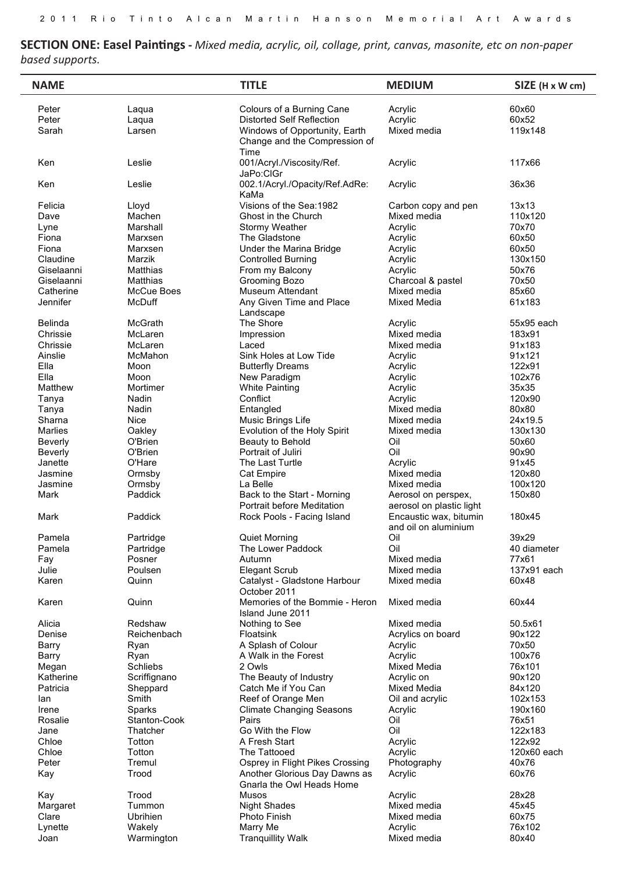**SECTION ONE: Easel Paintings -** *Mixed media, acrylic, oil, collage, print, canvas, masonite, etc on non-paper based supports. Section Three Prizes:*

| <b>NAME</b>    |                 | <b>TITLE</b>                                                           | <b>MEDIUM</b>                                   | SIZE (H x W cm) |
|----------------|-----------------|------------------------------------------------------------------------|-------------------------------------------------|-----------------|
| Peter          | Laqua           | Colours of a Burning Cane                                              | Acrylic                                         | 60x60           |
| Peter          | Laqua           | <b>Distorted Self Reflection</b>                                       | Acrylic                                         | 60x52           |
| Sarah          | Larsen          | Windows of Opportunity, Earth<br>Change and the Compression of<br>Time | Mixed media                                     | 119x148         |
| Ken            | Leslie          | 001/Acryl./Viscosity/Ref.<br>JaPo:ClGr                                 | Acrylic                                         | 117x66          |
| Ken            | Leslie          | 002.1/Acryl./Opacity/Ref.AdRe:<br>KaMa                                 | Acrylic                                         | 36x36           |
| Felicia        | Lloyd           | Visions of the Sea: 1982                                               | Carbon copy and pen                             | 13x13           |
| Dave           | Machen          | Ghost in the Church                                                    | Mixed media                                     | 110x120         |
| Lyne           | Marshall        | Stormy Weather                                                         | Acrylic                                         | 70x70           |
| Fiona          | Marxsen         | The Gladstone                                                          | Acrylic                                         | 60x50           |
| Fiona          | Marxsen         | Under the Marina Bridge                                                | Acrylic                                         | 60x50           |
| Claudine       | Marzik          | <b>Controlled Burning</b>                                              | Acrylic                                         | 130x150         |
| Giselaanni     | Matthias        | From my Balcony                                                        | Acrylic                                         | 50x76           |
| Giselaanni     | Matthias        | Grooming Bozo                                                          | Charcoal & pastel                               | 70x50           |
| Catherine      | McCue Boes      | Museum Attendant                                                       | Mixed media                                     | 85x60           |
| Jennifer       | McDuff          | Any Given Time and Place<br>Landscape                                  | Mixed Media                                     | 61x183          |
| <b>Belinda</b> | McGrath         | The Shore                                                              | Acrylic                                         | 55x95 each      |
| Chrissie       | McLaren         | Impression                                                             | Mixed media                                     | 183x91          |
| Chrissie       | McLaren         | Laced                                                                  | Mixed media                                     | 91x183          |
| Ainslie        | McMahon         | Sink Holes at Low Tide                                                 | Acrylic                                         | 91x121          |
| Ella           | Moon            | <b>Butterfly Dreams</b>                                                | Acrylic                                         | 122x91          |
| Ella           | Moon            | New Paradigm                                                           | Acrylic                                         | 102x76          |
| Matthew        | Mortimer        | <b>White Painting</b>                                                  | Acrylic                                         | 35x35           |
| Tanya          | Nadin           | Conflict                                                               | Acrylic                                         | 120x90          |
| Tanya          | Nadin           | Entangled                                                              | Mixed media                                     | 80x80           |
| Sharna         | <b>Nice</b>     | Music Brings Life                                                      | Mixed media                                     | 24x19.5         |
| <b>Marlies</b> | Oakley          | Evolution of the Holy Spirit                                           | Mixed media                                     | 130x130         |
| Beverly        | O'Brien         | Beauty to Behold                                                       | Oil                                             | 50x60           |
| Beverly        | O'Brien         | Portrait of Juliri                                                     | Oil                                             | 90x90           |
| Janette        | O'Hare          | The Last Turtle                                                        | Acrylic                                         | 91x45           |
| Jasmine        | Ormsby          | Cat Empire                                                             | Mixed media                                     | 120x80          |
| Jasmine        | Ormsby          | La Belle                                                               | Mixed media                                     | 100x120         |
| Mark           | Paddick         | Back to the Start - Morning<br>Portrait before Meditation              | Aerosol on perspex,<br>aerosol on plastic light | 150x80          |
| Mark           | Paddick         | Rock Pools - Facing Island                                             | Encaustic wax, bitumin<br>and oil on aluminium  | 180x45          |
| Pamela         | Partridge       | <b>Quiet Morning</b>                                                   | Oil                                             | 39x29           |
| Pamela         | Partridge       | The Lower Paddock                                                      | Oil                                             | 40 diameter     |
| Fay            | Posner          | Autumn                                                                 | Mixed media                                     | 77x61           |
| Julie          | Poulsen         | <b>Elegant Scrub</b>                                                   | Mixed media                                     | 137x91 each     |
| Karen          | Quinn           | Catalyst - Gladstone Harbour<br>October 2011                           | Mixed media                                     | 60x48           |
| Karen          | Quinn           | Memories of the Bommie - Heron<br>Island June 2011                     | Mixed media                                     | 60x44           |
| Alicia         | Redshaw         | Nothing to See                                                         | Mixed media                                     | 50.5x61         |
| Denise         | Reichenbach     | Floatsink                                                              | Acrylics on board                               | 90x122          |
| Barry          | Ryan            | A Splash of Colour                                                     | Acrylic                                         | 70x50           |
| Barry          | Ryan            | A Walk in the Forest                                                   | Acrylic                                         | 100x76          |
| Megan          | <b>Schliebs</b> | 2 Owls                                                                 | <b>Mixed Media</b>                              | 76x101          |
| Katherine      | Scriffignano    | The Beauty of Industry                                                 | Acrylic on                                      | 90x120          |
| Patricia       | Sheppard        | Catch Me if You Can                                                    | <b>Mixed Media</b>                              | 84x120          |
| lan            | Smith           | Reef of Orange Men                                                     | Oil and acrylic                                 | 102x153         |
| Irene          | Sparks          | <b>Climate Changing Seasons</b>                                        | Acrylic                                         | 190x160         |
| Rosalie        | Stanton-Cook    | Pairs                                                                  | Oil                                             | 76x51           |
| Jane           | Thatcher        | Go With the Flow                                                       | Oil                                             | 122x183         |
| Chloe          | Totton          | A Fresh Start                                                          | Acrylic                                         | 122x92          |
| Chloe          | Totton          | The Tattooed                                                           | Acrylic                                         | 120x60 each     |
| Peter          | Tremul          | Osprey in Flight Pikes Crossing                                        | Photography                                     | 40x76           |
| Kay            | Trood           | Another Glorious Day Dawns as<br>Gnarla the Owl Heads Home             | Acrylic                                         | 60x76           |
| Kay            | Trood           | Musos                                                                  | Acrylic                                         | 28x28           |
| Margaret       | Tummon          | <b>Night Shades</b>                                                    | Mixed media                                     | 45x45           |
| Clare          | Ubrihien        | <b>Photo Finish</b>                                                    | Mixed media                                     | 60x75           |
| Lynette        | Wakely          | Marry Me                                                               | Acrylic                                         | 76x102          |
| Joan           | Warmington      | <b>Tranquillity Walk</b>                                               | Mixed media                                     | 80x40           |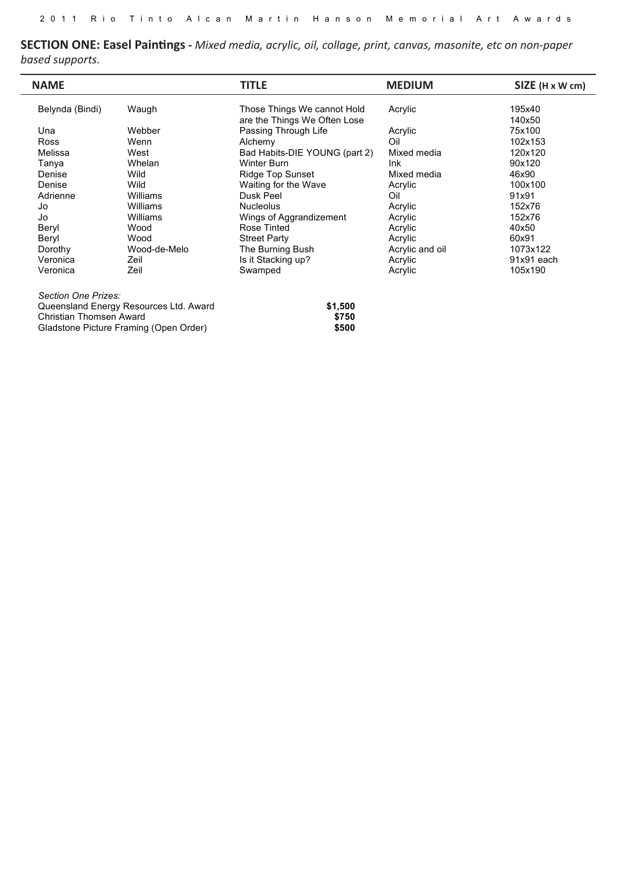**SECTION ONE: Easel Paintings** - Mixed media, acrylic, oil, collage, print, canvas, masonite, etc on non-paper **based supports.** edia, acrylic, oil, collage  $\alpha$  supports.

| <b>NAME</b>     |              | <b>TITLE</b>                  | <b>MEDIUM</b>   | SIZE (H x W cm) |
|-----------------|--------------|-------------------------------|-----------------|-----------------|
| Belynda (Bindi) | Waugh        | Those Things We cannot Hold   | Acrylic         | 195x40          |
|                 |              | are the Things We Often Lose  |                 | 140x50          |
| Una             | Webber       | Passing Through Life          | Acrylic         | 75x100          |
| <b>Ross</b>     | Wenn         | Alchemy                       | Oil             | 102x153         |
| Melissa         | West         | Bad Habits-DIE YOUNG (part 2) | Mixed media     | 120x120         |
| Tanya           | Whelan       | Winter Burn                   | <b>Ink</b>      | 90x120          |
| Denise          | Wild         | <b>Ridge Top Sunset</b>       | Mixed media     | 46x90           |
| Denise          | Wild         | Waiting for the Wave          | Acrylic         | 100x100         |
| Adrienne        | Williams     | Dusk Peel                     | Oil             | 91x91           |
| Jo              | Williams     | <b>Nucleolus</b>              | Acrylic         | 152x76          |
| Jo              | Williams     | Wings of Aggrandizement       | Acrylic         | 152x76          |
| Beryl           | Wood         | Rose Tinted                   | Acrylic         | 40x50           |
| Beryl           | Wood         | <b>Street Party</b>           | Acrylic         | 60x91           |
| Dorothy         | Wood-de-Melo | The Burning Bush              | Acrylic and oil | 1073x122        |
| Veronica        | Zeil         | Is it Stacking up?            | Acrylic         | 91x91 each      |
| Veronica        | Zeil         | Swamped                       | Acrylic         | 105x190         |

| Section One Prizes:                    |         |
|----------------------------------------|---------|
| Queensland Energy Resources Ltd. Award | \$1.500 |
| Christian Thomsen Award                | \$750   |
| Gladstone Picture Framing (Open Order) | \$500   |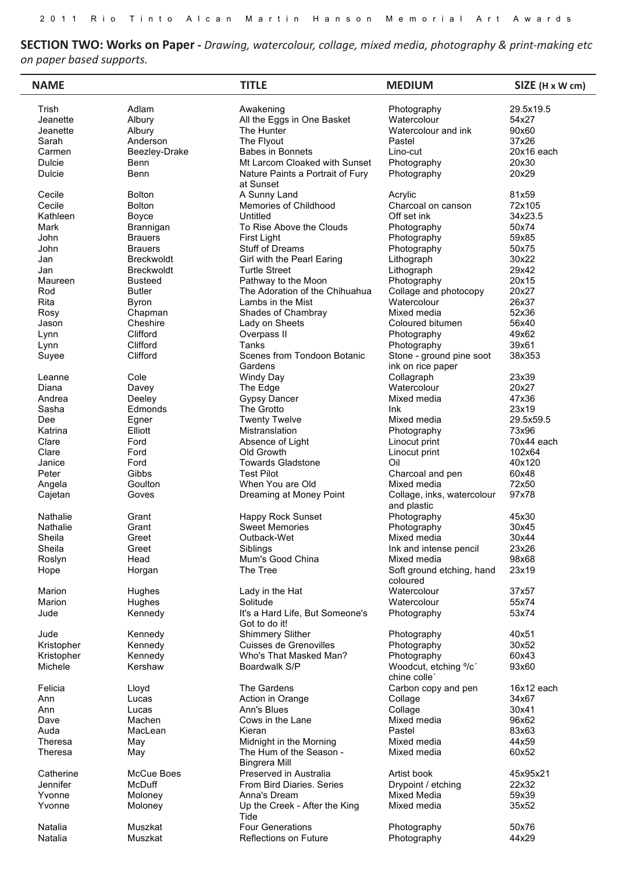**SECTION TWO: Works on Paper** - Drawing, watercolour, collage, mixed media, photography & print-making etc *on paper based supports. Section Three Prizes:*

| <b>NAME</b> |                   | <b>TITLE</b>                                     | <b>MEDIUM</b>                                 | SIZE (H x W cm) |
|-------------|-------------------|--------------------------------------------------|-----------------------------------------------|-----------------|
| Trish       | Adlam             | Awakening                                        | Photography                                   | 29.5x19.5       |
| Jeanette    | Albury            | All the Eggs in One Basket                       | Watercolour                                   | 54x27           |
| Jeanette    | Albury            | The Hunter                                       | Watercolour and ink                           | 90x60           |
| Sarah       | Anderson          | The Flyout                                       | Pastel                                        | 37x26           |
| Carmen      | Beezley-Drake     | Babes in Bonnets                                 | Lino-cut                                      | 20x16 each      |
| Dulcie      | Benn              | Mt Larcom Cloaked with Sunset                    | Photography                                   | 20x30           |
| Dulcie      | Benn              | Nature Paints a Portrait of Fury<br>at Sunset    | Photography                                   | 20x29           |
| Cecile      | <b>Bolton</b>     | A Sunny Land                                     | Acrylic                                       | 81x59           |
| Cecile      | <b>Bolton</b>     | Memories of Childhood                            | Charcoal on canson                            | 72x105          |
| Kathleen    | Boyce             | Untitled                                         | Off set ink                                   | 34x23.5         |
| Mark        | Brannigan         | To Rise Above the Clouds                         | Photography                                   | 50x74           |
| John        | <b>Brauers</b>    | First Light                                      | Photography                                   | 59x85           |
| John        | <b>Brauers</b>    | Stuff of Dreams                                  | Photography                                   | 50x75           |
| Jan         | Breckwoldt        | Girl with the Pearl Earing                       | Lithograph                                    | 30x22           |
|             | <b>Breckwoldt</b> |                                                  |                                               | 29x42           |
| Jan         |                   | <b>Turtle Street</b>                             | Lithograph                                    |                 |
| Maureen     | <b>Busteed</b>    | Pathway to the Moon                              | Photography                                   | 20x15           |
| Rod         | <b>Butler</b>     | The Adoration of the Chihuahua                   | Collage and photocopy                         | 20x27           |
| Rita        | <b>Byron</b>      | Lambs in the Mist                                | Watercolour                                   | 26x37           |
| Rosy        | Chapman           | Shades of Chambray                               | Mixed media                                   | 52x36           |
| Jason       | Cheshire          | Lady on Sheets                                   | Coloured bitumen                              | 56x40           |
| Lynn        | Clifford          | Overpass II                                      | Photography                                   | 49x62           |
| Lynn        | Clifford          | Tanks                                            | Photography                                   | 39x61           |
| Suyee       | Clifford          | Scenes from Tondoon Botanic<br>Gardens           | Stone - ground pine soot<br>ink on rice paper | 38x353          |
| Leanne      | Cole              | Windy Day                                        | Collagraph                                    | 23x39           |
| Diana       | Davey             | The Edge                                         | Watercolour                                   | 20x27           |
| Andrea      | Deeley            | <b>Gypsy Dancer</b>                              | Mixed media                                   | 47x36           |
| Sasha       | Edmonds           | The Grotto                                       | Ink                                           | 23x19           |
| Dee         | Egner             | <b>Twenty Twelve</b>                             | Mixed media                                   | 29.5x59.5       |
| Katrina     | Elliott           | Mistranslation                                   | Photography                                   | 73x96           |
| Clare       | Ford              | Absence of Light                                 | Linocut print                                 | 70x44 each      |
| Clare       | Ford              | Old Growth                                       |                                               | 102x64          |
|             |                   |                                                  | Linocut print                                 |                 |
| Janice      | Ford              | <b>Towards Gladstone</b>                         | Oil                                           | 40x120          |
| Peter       | Gibbs             | <b>Test Pilot</b>                                | Charcoal and pen                              | 60x48           |
| Angela      | Goulton           | When You are Old                                 | Mixed media                                   | 72x50           |
| Cajetan     | Goves             | Dreaming at Money Point                          | Collage, inks, watercolour<br>and plastic     | 97x78           |
| Nathalie    | Grant             | Happy Rock Sunset                                | Photography                                   | 45x30           |
| Nathalie    | Grant             | <b>Sweet Memories</b>                            | Photography                                   | 30x45           |
| Sheila      | Greet             | Outback-Wet                                      | Mixed media                                   | 30x44           |
| Sheila      | Greet             | Siblings                                         | Ink and intense pencil                        | 23x26           |
| Roslyn      | Head              | Mum's Good China                                 | Mixed media                                   | 98x68           |
| Hope        | Horgan            | The Tree                                         | Soft ground etching, hand<br>coloured         | 23x19           |
| Marion      | Hughes            | Lady in the Hat                                  | Watercolour                                   | 37x57           |
| Marion      | Hughes            | Solitude                                         | Watercolour                                   | 55x74           |
| Jude        | Kennedy           | It's a Hard Life, But Someone's<br>Got to do it! | Photography                                   | 53x74           |
| Jude        | Kennedy           | <b>Shimmery Slither</b>                          | Photography                                   | 40x51           |
| Kristopher  | Kennedy           | <b>Cuisses de Grenovilles</b>                    | Photography                                   | 30x52           |
| Kristopher  | Kennedy           | Who's That Masked Man?                           | Photography                                   | 60x43           |
| Michele     | Kershaw           | Boardwalk S/P                                    | Woodcut, etching °/c'<br>chine colle'         | 93x60           |
| Felicia     | Lloyd             | The Gardens                                      | Carbon copy and pen                           | 16x12 each      |
| Ann         | Lucas             | Action in Orange                                 | Collage                                       | 34x67           |
| Ann         | Lucas             | Ann's Blues                                      | Collage                                       | 30x41           |
| Dave        | Machen            | Cows in the Lane                                 | Mixed media                                   | 96x62           |
| Auda        | MacLean           | Kieran                                           | Pastel                                        | 83x63           |
| Theresa     | May               | Midnight in the Morning                          | Mixed media                                   | 44x59           |
| Theresa     | May               | The Hum of the Season -<br><b>Bingrera Mill</b>  | Mixed media                                   | 60x52           |
| Catherine   | McCue Boes        | Preserved in Australia                           | Artist book                                   | 45x95x21        |
| Jennifer    |                   |                                                  |                                               |                 |
|             | McDuff            | From Bird Diaries. Series                        | Drypoint / etching                            | 22x32           |
| Yvonne      | Moloney           | Anna's Dream                                     | Mixed Media                                   | 59x39           |
| Yvonne      | Moloney           | Up the Creek - After the King<br>Tide            | Mixed media                                   | 35x52           |
| Natalia     | Muszkat           | <b>Four Generations</b>                          | Photography                                   | 50x76           |
| Natalia     | Muszkat           | Reflections on Future                            | Photography                                   | 44x29           |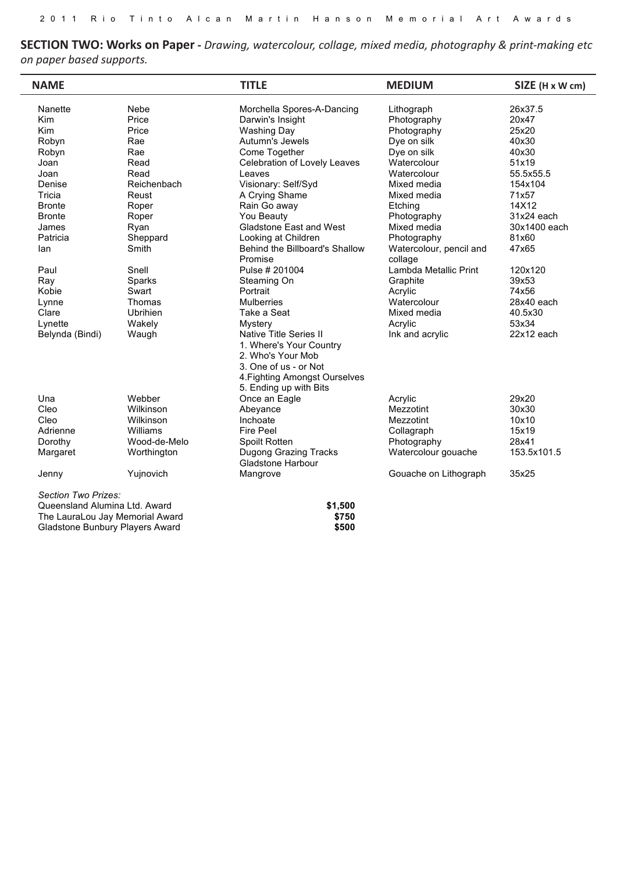**SECTION TWO: Works on Paper -** *Drawing, watercolour, collage, mixed media, photography & print-making etc on paper based supports. Section Three Prizes:*

Gladstone Ports Corporation Award **\$1,500**

| <b>NAME</b>                     |              | <b>TITLE</b>                                      | <b>MEDIUM</b>           | SIZE (H x W cm) |
|---------------------------------|--------------|---------------------------------------------------|-------------------------|-----------------|
| Nanette                         | Nebe         | Morchella Spores-A-Dancing                        | Lithograph              | 26x37.5         |
| Kim                             | Price        | Darwin's Insight                                  | Photography             | 20x47           |
| Kim                             | Price        | <b>Washing Day</b>                                | Photography             | 25x20           |
| Robyn                           | Rae          | Autumn's Jewels                                   | Dye on silk             | 40x30           |
| Robyn                           | Rae          | Come Together                                     | Dye on silk             | 40x30           |
| Joan                            | Read         | Celebration of Lovely Leaves                      | Watercolour             | 51x19           |
| Joan                            | Read         | Leaves                                            | Watercolour             | 55.5x55.5       |
| Denise                          | Reichenbach  | Visionary: Self/Syd                               | Mixed media             | 154x104         |
| Tricia                          | Reust        | A Crying Shame                                    | Mixed media             | 71x57           |
| <b>Bronte</b>                   | Roper        | Rain Go away                                      | Etching                 | 14X12           |
| <b>Bronte</b>                   | Roper        | You Beauty                                        | Photography             | 31x24 each      |
| James                           | Ryan         | <b>Gladstone East and West</b>                    | Mixed media             | 30x1400 each    |
| Patricia                        | Sheppard     | Looking at Children                               | Photography             | 81x60           |
| lan                             | Smith        | Behind the Billboard's Shallow                    | Watercolour, pencil and | 47x65           |
|                                 |              | Promise                                           | collage                 |                 |
| Paul                            | Snell        | Pulse # 201004                                    | Lambda Metallic Print   | 120x120         |
|                                 |              |                                                   |                         |                 |
| Ray<br>Kobie                    | Sparks       | Steaming On                                       | Graphite                | 39x53           |
|                                 | Swart        | Portrait                                          | Acrylic                 | 74x56           |
| Lynne                           | Thomas       | <b>Mulberries</b>                                 | Watercolour             | 28x40 each      |
| Clare                           | Ubrihien     | Take a Seat                                       | Mixed media             | 40.5x30         |
| Lynette                         | Wakely       | Mystery                                           | Acrylic                 | 53x34           |
| Belynda (Bindi)                 | Waugh        | <b>Native Title Series II</b>                     | Ink and acrylic         | 22x12 each      |
|                                 |              | 1. Where's Your Country                           |                         |                 |
|                                 |              | 2. Who's Your Mob                                 |                         |                 |
|                                 |              | 3. One of us - or Not                             |                         |                 |
|                                 |              | 4. Fighting Amongst Ourselves                     |                         |                 |
|                                 |              | 5. Ending up with Bits                            |                         |                 |
| Una                             | Webber       | Once an Eagle                                     | Acrylic                 | 29x20           |
| Cleo                            | Wilkinson    | Abeyance                                          | Mezzotint               | 30x30           |
| Cleo                            | Wilkinson    | Inchoate                                          | Mezzotint               | 10x10           |
| Adrienne                        | Williams     | <b>Fire Peel</b>                                  | Collagraph              | 15x19           |
| Dorothy                         | Wood-de-Melo | Spoilt Rotten                                     | Photography             | 28x41           |
| Margaret                        | Worthington  | Dugong Grazing Tracks<br><b>Gladstone Harbour</b> | Watercolour gouache     | 153.5x101.5     |
| Jenny                           | Yujnovich    | Mangrove                                          | Gouache on Lithograph   | 35x25           |
| Section Two Prizes:             |              |                                                   |                         |                 |
| Queensland Alumina Ltd. Award   |              | \$1,500                                           |                         |                 |
| The LauraLou Jay Memorial Award |              | \$750                                             |                         |                 |
| Gladstone Bunbury Players Award |              | \$500                                             |                         |                 |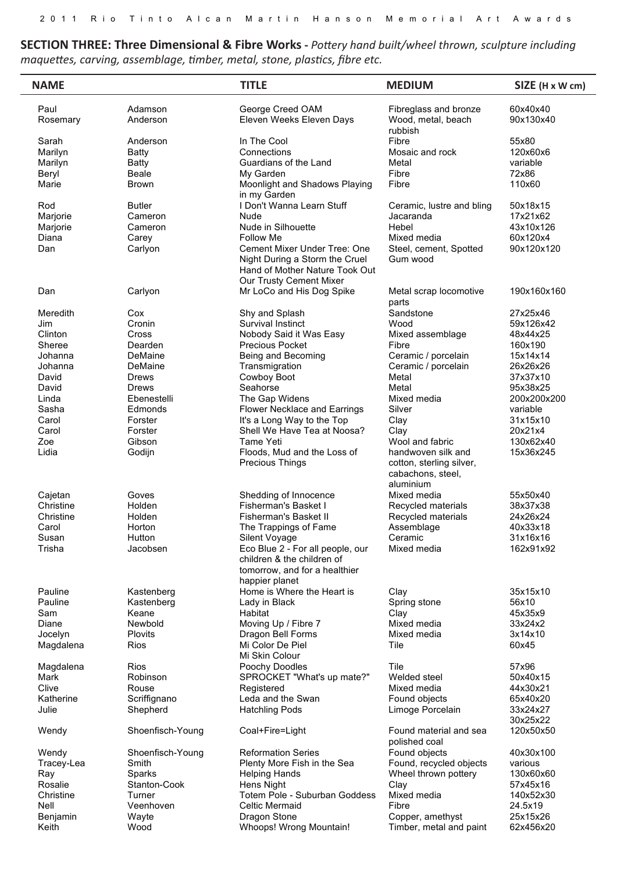SECTION THREE: Three Dimensional & Fibre Works - Pottery hand built/wheel thrown, sculpture including maquettes, carving, assemblage, timber, metal, stone, plastics, fibre etc.

| <b>NAME</b>      |                     | <b>TITLE</b>                                                                                                                | <b>MEDIUM</b>                                                                    | SIZE (H x W cm)       |
|------------------|---------------------|-----------------------------------------------------------------------------------------------------------------------------|----------------------------------------------------------------------------------|-----------------------|
| Paul<br>Rosemary | Adamson<br>Anderson | George Creed OAM<br>Eleven Weeks Eleven Days                                                                                | Fibreglass and bronze<br>Wood, metal, beach<br>rubbish                           | 60x40x40<br>90x130x40 |
| Sarah            | Anderson            | In The Cool                                                                                                                 | Fibre                                                                            | 55x80                 |
| Marilyn          | <b>Batty</b>        | Connections                                                                                                                 | Mosaic and rock                                                                  | 120x60x6              |
| Marilyn          | <b>Batty</b>        | Guardians of the Land                                                                                                       | Metal                                                                            | variable              |
| Beryl            | <b>Beale</b>        | My Garden                                                                                                                   | Fibre                                                                            | 72x86                 |
| Marie            | <b>Brown</b>        | Moonlight and Shadows Playing<br>in my Garden                                                                               | Fibre                                                                            | 110x60                |
| Rod              | <b>Butler</b>       | I Don't Wanna Learn Stuff                                                                                                   | Ceramic, lustre and bling                                                        | 50x18x15              |
| Marjorie         | Cameron             | Nude                                                                                                                        | Jacaranda                                                                        | 17x21x62              |
| Marjorie         | Cameron             | Nude in Silhouette                                                                                                          | Hebel                                                                            | 43x10x126             |
| Diana            | Carey               | <b>Follow Me</b>                                                                                                            | Mixed media                                                                      | 60x120x4              |
| Dan              | Carlyon             | Cement Mixer Under Tree: One<br>Night During a Storm the Cruel<br>Hand of Mother Nature Took Out<br>Our Trusty Cement Mixer | Steel, cement, Spotted<br>Gum wood                                               | 90x120x120            |
| Dan              | Carlyon             | Mr LoCo and His Dog Spike                                                                                                   | Metal scrap locomotive<br>parts                                                  | 190x160x160           |
| Meredith         | Cox                 | Shy and Splash                                                                                                              | Sandstone                                                                        | 27x25x46              |
| Jim              | Cronin              | Survival Instinct                                                                                                           | Wood                                                                             | 59x126x42             |
| Clinton          | Cross               | Nobody Said it Was Easy                                                                                                     | Mixed assemblage                                                                 | 48x44x25              |
| Sheree           | Dearden             | <b>Precious Pocket</b>                                                                                                      | Fibre                                                                            | 160x190               |
| Johanna          | DeMaine             | Being and Becoming                                                                                                          | Ceramic / porcelain                                                              | 15x14x14              |
| Johanna          | DeMaine             | Transmigration                                                                                                              | Ceramic / porcelain                                                              | 26x26x26              |
| David            | Drews               | Cowboy Boot                                                                                                                 | Metal                                                                            | 37x37x10              |
| David            | Drews               | Seahorse                                                                                                                    | Metal                                                                            | 95x38x25              |
| Linda            | Ebenestelli         | The Gap Widens                                                                                                              | Mixed media                                                                      | 200x200x200           |
| Sasha            | Edmonds             | Flower Necklace and Earrings                                                                                                | Silver                                                                           | variable              |
| Carol            | Forster             | It's a Long Way to the Top                                                                                                  | Clay                                                                             | 31x15x10              |
| Carol            | Forster             | Shell We Have Tea at Noosa?                                                                                                 | Clay                                                                             | 20x21x4               |
| Zoe              | Gibson              | Tame Yeti                                                                                                                   | Wool and fabric                                                                  | 130x62x40             |
| Lidia            | Godijn              | Floods, Mud and the Loss of<br>Precious Things                                                                              | handwoven silk and<br>cotton, sterling silver,<br>cabachons, steel,<br>aluminium | 15x36x245             |
| Cajetan          | Goves               | Shedding of Innocence                                                                                                       | Mixed media                                                                      | 55x50x40              |
| Christine        | Holden              | Fisherman's Basket I                                                                                                        | Recycled materials                                                               | 38x37x38              |
| Christine        | Holden              | Fisherman's Basket II                                                                                                       | Recycled materials                                                               | 24x26x24              |
| Carol            | Horton              | The Trappings of Fame                                                                                                       | Assemblage                                                                       | 40x33x18              |
| Susan            | Hutton              | Silent Voyage                                                                                                               | Ceramic                                                                          | 31x16x16              |
| Trisha           | Jacobsen            | Eco Blue 2 - For all people, our<br>children & the children of<br>tomorrow, and for a healthier<br>happier planet           | Mixed media                                                                      | 162x91x92             |
| Pauline          |                     | Home is Where the Heart is                                                                                                  | Clay                                                                             | 35x15x10              |
| Pauline          | Kastenberg          |                                                                                                                             |                                                                                  | 56x10                 |
| Sam              | Kastenberg<br>Keane | Lady in Black<br>Habitat                                                                                                    | Spring stone                                                                     | 45x35x9               |
| Diane            |                     |                                                                                                                             | Clay<br>Mixed media                                                              | 33x24x2               |
| Jocelyn          | Newbold<br>Plovits  | Moving Up / Fibre 7<br>Dragon Bell Forms                                                                                    | Mixed media                                                                      | 3x14x10               |
| Magdalena        | Rios                | Mi Color De Piel<br>Mi Skin Colour                                                                                          | Tile                                                                             | 60x45                 |
| Magdalena        | <b>Rios</b>         | Poochy Doodles                                                                                                              | Tile                                                                             | 57x96                 |
| Mark             | Robinson            | SPROCKET "What's up mate?"                                                                                                  | Welded steel                                                                     | 50x40x15              |
| Clive            | Rouse               | Registered                                                                                                                  | Mixed media                                                                      | 44x30x21              |
| Katherine        | Scriffignano        | Leda and the Swan                                                                                                           | Found objects                                                                    | 65x40x20              |
| Julie            | Shepherd            | <b>Hatchling Pods</b>                                                                                                       | Limoge Porcelain                                                                 | 33x24x27<br>30x25x22  |
| Wendy            | Shoenfisch-Young    | Coal+Fire=Light                                                                                                             | Found material and sea<br>polished coal                                          | 120x50x50             |
| Wendy            | Shoenfisch-Young    | <b>Reformation Series</b>                                                                                                   | Found objects                                                                    | 40x30x100             |
| Tracey-Lea       | Smith               | Plenty More Fish in the Sea                                                                                                 | Found, recycled objects                                                          | various               |
| Ray              | Sparks              | <b>Helping Hands</b>                                                                                                        | Wheel thrown pottery                                                             | 130x60x60             |
| Rosalie          | Stanton-Cook        | Hens Night                                                                                                                  | Clay                                                                             | 57x45x16              |
| Christine        | Turner              | Totem Pole - Suburban Goddess                                                                                               | Mixed media                                                                      | 140x52x30             |
| Nell             | Veenhoven           | <b>Celtic Mermaid</b>                                                                                                       | Fibre                                                                            | 24.5x19               |
| Benjamin         | Wayte               | Dragon Stone                                                                                                                | Copper, amethyst                                                                 | 25x15x26              |
| Keith            | Wood                | Whoops! Wrong Mountain!                                                                                                     | Timber, metal and paint                                                          | 62x456x20             |